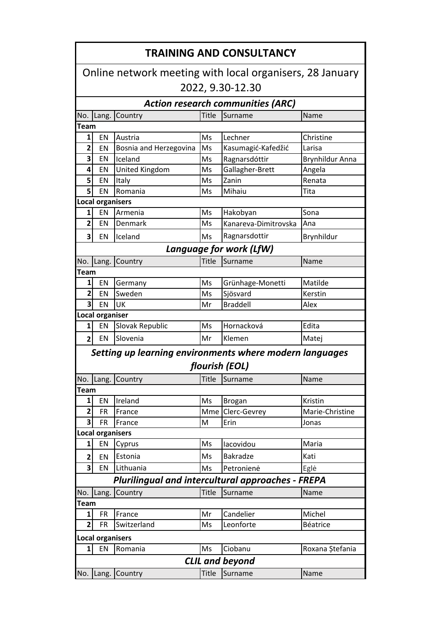| <b>TRAINING AND CONSULTANCY</b><br>Online network meeting with local organisers, 28 January |                         |                                                          |              |                         |                 |  |  |  |                  |
|---------------------------------------------------------------------------------------------|-------------------------|----------------------------------------------------------|--------------|-------------------------|-----------------|--|--|--|------------------|
|                                                                                             |                         |                                                          |              |                         |                 |  |  |  | 2022, 9.30-12.30 |
| <b>Action research communities (ARC)</b>                                                    |                         |                                                          |              |                         |                 |  |  |  |                  |
| No.                                                                                         | Lang.                   | Country                                                  | <b>Title</b> | Surname                 | Name            |  |  |  |                  |
| <b>Team</b>                                                                                 |                         |                                                          |              |                         |                 |  |  |  |                  |
| $1\vert$                                                                                    | EN                      | Austria                                                  | Ms           | Lechner                 | Christine       |  |  |  |                  |
| $\overline{\mathbf{2}}$                                                                     | EN                      | Bosnia and Herzegovina                                   | Ms           | Kasumagić-Kafedžić      | Larisa          |  |  |  |                  |
| 3                                                                                           | EN                      | Iceland                                                  | Ms           | Ragnarsdóttir           | Brynhildur Anna |  |  |  |                  |
| 4                                                                                           | EN                      | United Kingdom                                           | Ms           | Gallagher-Brett         | Angela          |  |  |  |                  |
| 5 <sup>1</sup>                                                                              | EN                      | Italy                                                    | Ms           | Zanin                   | Renata          |  |  |  |                  |
| 5 <sup>1</sup>                                                                              | EN                      | Romania                                                  | Ms           | Mihaiu                  | Tita            |  |  |  |                  |
| <b>Local organisers</b>                                                                     |                         |                                                          |              |                         |                 |  |  |  |                  |
| $1\vert$                                                                                    | EN                      | Armenia                                                  | Ms           | Hakobyan                | Sona            |  |  |  |                  |
| $\mathbf{2}$                                                                                | EN                      | Denmark                                                  | Ms           | Kanareva-Dimitrovska    | Ana             |  |  |  |                  |
| $\overline{\mathbf{3}}$                                                                     | EN                      | Iceland                                                  | Ms           | Ragnarsdottir           | Brynhildur      |  |  |  |                  |
|                                                                                             |                         |                                                          |              | Language for work (LfW) |                 |  |  |  |                  |
| No.                                                                                         | Lang.                   | Country                                                  | Title        | Surname                 | Name            |  |  |  |                  |
| <b>Team</b>                                                                                 |                         |                                                          |              |                         |                 |  |  |  |                  |
| $1\vert$                                                                                    | EN                      | Germany                                                  | Ms           | Grünhage-Monetti        | Matilde         |  |  |  |                  |
| $\mathbf{2}$                                                                                | EN                      | Sweden                                                   | Ms           | Sjösvard                | Kerstin         |  |  |  |                  |
| $\mathbf{3}$                                                                                | EN                      | UK                                                       | Mr           | <b>Braddell</b>         | Alex            |  |  |  |                  |
| <b>Local organiser</b>                                                                      |                         |                                                          |              |                         |                 |  |  |  |                  |
| 1 <sup>1</sup>                                                                              | EN                      | Slovak Republic                                          | Ms           | Hornacková              | Edita           |  |  |  |                  |
| $\overline{2}$                                                                              | EN                      | Slovenia                                                 | Mr           | Klemen                  | Matej           |  |  |  |                  |
| Setting up learning environments where modern languages                                     |                         |                                                          |              |                         |                 |  |  |  |                  |
|                                                                                             |                         |                                                          |              | flourish (EOL)          |                 |  |  |  |                  |
|                                                                                             |                         | No.  Lang.  Country                                      | Title        | Surname                 | <b>Name</b>     |  |  |  |                  |
| <b>Team</b>                                                                                 |                         |                                                          |              |                         |                 |  |  |  |                  |
| 1                                                                                           | EN                      | Ireland                                                  | Ms           | <b>Brogan</b>           | Kristin         |  |  |  |                  |
| $\overline{\mathbf{c}}$                                                                     | <b>FR</b>               | France                                                   | Mme          | Clerc-Gevrey            | Marie-Christine |  |  |  |                  |
| 3                                                                                           | <b>FR</b>               | France                                                   | M            | Erin                    | Jonas           |  |  |  |                  |
|                                                                                             | <b>Local organisers</b> |                                                          |              |                         |                 |  |  |  |                  |
| $\mathbf{1}$                                                                                | EN                      | Cyprus                                                   | Ms           | lacovidou               | Maria           |  |  |  |                  |
| $\overline{\mathbf{c}}$                                                                     | EN                      | Estonia                                                  | Ms           | <b>Bakradze</b>         | Kati            |  |  |  |                  |
| 3                                                                                           | EN                      | Lithuania                                                | Ms           | Petronienė              | Eglė            |  |  |  |                  |
|                                                                                             |                         | <b>Plurilingual and intercultural approaches - FREPA</b> |              |                         |                 |  |  |  |                  |
| No.                                                                                         | Lang.                   | Country                                                  | Title        | Surname                 | Name            |  |  |  |                  |
| Team                                                                                        |                         |                                                          |              |                         |                 |  |  |  |                  |
| 1                                                                                           | <b>FR</b>               | France                                                   | Mr           | Candelier               | Michel          |  |  |  |                  |
| $\overline{2}$                                                                              | <b>FR</b>               | Switzerland                                              | Ms           | Leonforte               | Béatrice        |  |  |  |                  |
|                                                                                             | <b>Local organisers</b> |                                                          |              |                         |                 |  |  |  |                  |
| 1 <sup>1</sup>                                                                              | EN                      | Romania                                                  | Ms           | Ciobanu                 | Roxana Ștefania |  |  |  |                  |
| <b>CLIL and beyond</b><br>Surname<br>No. Lang. Country<br>Title<br>Name                     |                         |                                                          |              |                         |                 |  |  |  |                  |
|                                                                                             |                         |                                                          |              |                         |                 |  |  |  |                  |